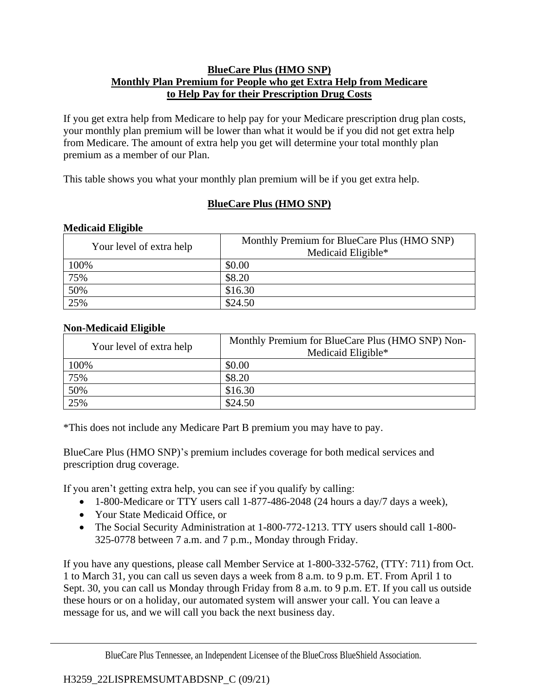## **BlueCare Plus (HMO SNP) Monthly Plan Premium for People who get Extra Help from Medicare to Help Pay for their Prescription Drug Costs**

If you get extra help from Medicare to help pay for your Medicare prescription drug plan costs, your monthly plan premium will be lower than what it would be if you did not get extra help from Medicare. The amount of extra help you get will determine your total monthly plan premium as a member of our Plan.

This table shows you what your monthly plan premium will be if you get extra help.

## **BlueCare Plus (HMO SNP)**

| Your level of extra help | Monthly Premium for BlueCare Plus (HMO SNP)<br>Medicaid Eligible* |
|--------------------------|-------------------------------------------------------------------|
| 100%                     | \$0.00                                                            |
| 75%                      | \$8.20                                                            |
| 50%                      | \$16.30                                                           |
| 25%                      | \$24.50                                                           |

## **Medicaid Eligible**

## **Non-Medicaid Eligible**

| Your level of extra help | Monthly Premium for BlueCare Plus (HMO SNP) Non-<br>Medicaid Eligible* |
|--------------------------|------------------------------------------------------------------------|
| 100%                     | \$0.00                                                                 |
| 75%                      | \$8.20                                                                 |
| 50%                      | \$16.30                                                                |
| 25%                      | \$24.50                                                                |

\*This does not include any Medicare Part B premium you may have to pay.

BlueCare Plus (HMO SNP)'s premium includes coverage for both medical services and prescription drug coverage.

If you aren't getting extra help, you can see if you qualify by calling:

- 1-800-Medicare or TTY users call 1-877-486-2048 (24 hours a day/7 days a week),
- Your State Medicaid Office, or
- The Social Security Administration at 1-800-772-1213. TTY users should call 1-800- 325-0778 between 7 a.m. and 7 p.m., Monday through Friday.

If you have any questions, please call Member Service at 1-800-332-5762, (TTY: 711) from Oct. 1 to March 31, you can call us seven days a week from 8 a.m. to 9 p.m. ET. From April 1 to Sept. 30, you can call us Monday through Friday from 8 a.m. to 9 p.m. ET. If you call us outside these hours or on a holiday, our automated system will answer your call. You can leave a message for us, and we will call you back the next business day.

BlueCare Plus Tennessee, an Independent Licensee of the BlueCross BlueShield Association.